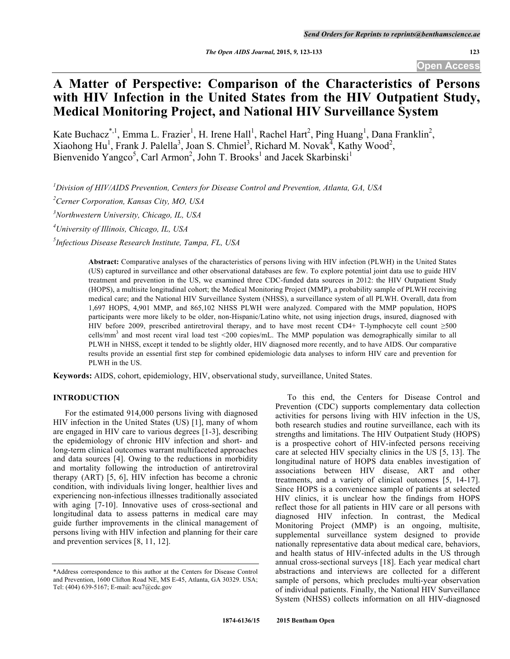# **A Matter of Perspective: Comparison of the Characteristics of Persons with HIV Infection in the United States from the HIV Outpatient Study, Medical Monitoring Project, and National HIV Surveillance System**

Kate Buchacz<sup>\*,1</sup>, Emma L. Frazier<sup>1</sup>, H. Irene Hall<sup>1</sup>, Rachel Hart<sup>2</sup>, Ping Huang<sup>1</sup>, Dana Franklin<sup>2</sup>, Xiaohong Hu<sup>1</sup>, Frank J. Palella<sup>3</sup>, Joan S. Chmiel<sup>3</sup>, Richard M. Novak<sup>4</sup>, Kathy Wood<sup>2</sup>, Bienvenido Yangco<sup>5</sup>, Carl Armon<sup>2</sup>, John T. Brooks<sup>1</sup> and Jacek Skarbinski<sup>1</sup>

*1 Division of HIV/AIDS Prevention, Centers for Disease Control and Prevention, Atlanta, GA, USA*

*2 Cerner Corporation, Kansas City, MO, USA*

*3 Northwestern University, Chicago, IL, USA*

*4 University of Illinois, Chicago, IL, USA*

*5 Infectious Disease Research Institute, Tampa, FL, USA*

**Abstract:** Comparative analyses of the characteristics of persons living with HIV infection (PLWH) in the United States (US) captured in surveillance and other observational databases are few. To explore potential joint data use to guide HIV treatment and prevention in the US, we examined three CDC-funded data sources in 2012: the HIV Outpatient Study (HOPS), a multisite longitudinal cohort; the Medical Monitoring Project (MMP), a probability sample of PLWH receiving medical care; and the National HIV Surveillance System (NHSS), a surveillance system of all PLWH. Overall, data from 1,697 HOPS, 4,901 MMP, and 865,102 NHSS PLWH were analyzed. Compared with the MMP population, HOPS participants were more likely to be older, non-Hispanic/Latino white, not using injection drugs, insured, diagnosed with HIV before 2009, prescribed antiretroviral therapy, and to have most recent CD4+ T-lymphocyte cell count ≥500 cells/mm<sup>3</sup> and most recent viral load test <200 copies/mL. The MMP population was demographically similar to all PLWH in NHSS, except it tended to be slightly older, HIV diagnosed more recently, and to have AIDS. Our comparative results provide an essential first step for combined epidemiologic data analyses to inform HIV care and prevention for PLWH in the US.

**Keywords:** AIDS, cohort, epidemiology, HIV, observational study, surveillance, United States.

# **INTRODUCTION**

For the estimated 914,000 persons living with diagnosed HIV infection in the United States (US) [1], many of whom are engaged in HIV care to various degrees [1-3], describing the epidemiology of chronic HIV infection and short- and long-term clinical outcomes warrant multifaceted approaches and data sources [4]. Owing to the reductions in morbidity and mortality following the introduction of antiretroviral therapy (ART) [5, 6], HIV infection has become a chronic condition, with individuals living longer, healthier lives and experiencing non-infectious illnesses traditionally associated with aging [7-10]. Innovative uses of cross-sectional and longitudinal data to assess patterns in medical care may guide further improvements in the clinical management of persons living with HIV infection and planning for their care and prevention services [8, 11, 12].

To this end, the Centers for Disease Control and Prevention (CDC) supports complementary data collection activities for persons living with HIV infection in the US, both research studies and routine surveillance, each with its strengths and limitations. The HIV Outpatient Study (HOPS) is a prospective cohort of HIV-infected persons receiving care at selected HIV specialty clinics in the US [5, 13]. The longitudinal nature of HOPS data enables investigation of associations between HIV disease, ART and other treatments, and a variety of clinical outcomes [5, 14-17]. Since HOPS is a convenience sample of patients at selected HIV clinics, it is unclear how the findings from HOPS reflect those for all patients in HIV care or all persons with diagnosed HIV infection. In contrast, the Medical Monitoring Project (MMP) is an ongoing, multisite, supplemental surveillance system designed to provide nationally representative data about medical care, behaviors, and health status of HIV-infected adults in the US through annual cross-sectional surveys [18]. Each year medical chart abstractions and interviews are collected for a different sample of persons, which precludes multi-year observation of individual patients. Finally, the National HIV Surveillance System (NHSS) collects information on all HIV-diagnosed

<sup>\*</sup>Address correspondence to this author at the Centers for Disease Control and Prevention, 1600 Clifton Road NE, MS E-45, Atlanta, GA 30329. USA; Tel: (404) 639-5167; E-mail: acu7@cdc.gov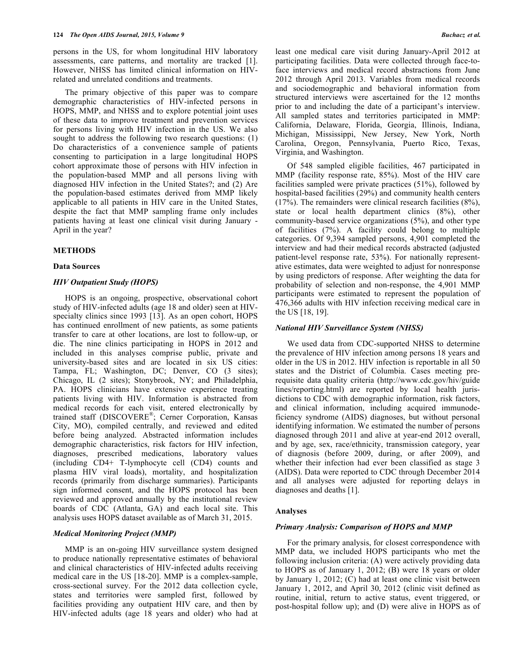persons in the US, for whom longitudinal HIV laboratory assessments, care patterns, and mortality are tracked [1]. However, NHSS has limited clinical information on HIVrelated and unrelated conditions and treatments.

The primary objective of this paper was to compare demographic characteristics of HIV-infected persons in HOPS, MMP, and NHSS and to explore potential joint uses of these data to improve treatment and prevention services for persons living with HIV infection in the US. We also sought to address the following two research questions: (1) Do characteristics of a convenience sample of patients consenting to participation in a large longitudinal HOPS cohort approximate those of persons with HIV infection in the population-based MMP and all persons living with diagnosed HIV infection in the United States?; and (2) Are the population-based estimates derived from MMP likely applicable to all patients in HIV care in the United States, despite the fact that MMP sampling frame only includes patients having at least one clinical visit during January - April in the year?

## **METHODS**

### **Data Sources**

## *HIV Outpatient Study (HOPS)*

HOPS is an ongoing, prospective, observational cohort study of HIV-infected adults (age 18 and older) seen at HIVspecialty clinics since 1993 [13]. As an open cohort, HOPS has continued enrollment of new patients, as some patients transfer to care at other locations, are lost to follow-up, or die. The nine clinics participating in HOPS in 2012 and included in this analyses comprise public, private and university-based sites and are located in six US cities: Tampa, FL; Washington, DC; Denver, CO (3 sites); Chicago, IL (2 sites); Stonybrook, NY; and Philadelphia, PA. HOPS clinicians have extensive experience treating patients living with HIV. Information is abstracted from medical records for each visit, entered electronically by trained staff (DISCOVERE®; Cerner Corporation, Kansas City, MO), compiled centrally, and reviewed and edited before being analyzed. Abstracted information includes demographic characteristics, risk factors for HIV infection, diagnoses, prescribed medications, laboratory values (including CD4+ T-lymphocyte cell (CD4) counts and plasma HIV viral loads), mortality, and hospitalization records (primarily from discharge summaries). Participants sign informed consent, and the HOPS protocol has been reviewed and approved annually by the institutional review boards of CDC (Atlanta, GA) and each local site. This analysis uses HOPS dataset available as of March 31, 2015.

#### *Medical Monitoring Project (MMP)*

MMP is an on-going HIV surveillance system designed to produce nationally representative estimates of behavioral and clinical characteristics of HIV-infected adults receiving medical care in the US [18-20]. MMP is a complex-sample, cross-sectional survey. For the 2012 data collection cycle, states and territories were sampled first, followed by facilities providing any outpatient HIV care, and then by HIV-infected adults (age 18 years and older) who had at

least one medical care visit during January-April 2012 at participating facilities. Data were collected through face-toface interviews and medical record abstractions from June 2012 through April 2013. Variables from medical records and sociodemographic and behavioral information from structured interviews were ascertained for the 12 months prior to and including the date of a participant's interview. All sampled states and territories participated in MMP: California, Delaware, Florida, Georgia, Illinois, Indiana, Michigan, Mississippi, New Jersey, New York, North Carolina, Oregon, Pennsylvania, Puerto Rico, Texas, Virginia, and Washington.

Of 548 sampled eligible facilities, 467 participated in MMP (facility response rate, 85%). Most of the HIV care facilities sampled were private practices (51%), followed by hospital-based facilities (29%) and community health centers (17%). The remainders were clinical research facilities (8%), state or local health department clinics (8%), other community-based service organizations (5%), and other type of facilities (7%). A facility could belong to multiple categories. Of 9,394 sampled persons, 4,901 completed the interview and had their medical records abstracted (adjusted patient-level response rate, 53%). For nationally representative estimates, data were weighted to adjust for nonresponse by using predictors of response. After weighting the data for probability of selection and non-response, the 4,901 MMP participants were estimated to represent the population of 476,366 adults with HIV infection receiving medical care in the US [18, 19].

## *National HIV Surveillance System (NHSS)*

We used data from CDC-supported NHSS to determine the prevalence of HIV infection among persons 18 years and older in the US in 2012. HIV infection is reportable in all 50 states and the District of Columbia. Cases meeting prerequisite data quality criteria (http://www.cdc.gov/hiv/guide lines/reporting.html) are reported by local health jurisdictions to CDC with demographic information, risk factors, and clinical information, including acquired immunodeficiency syndrome (AIDS) diagnoses, but without personal identifying information. We estimated the number of persons diagnosed through 2011 and alive at year-end 2012 overall, and by age, sex, race/ethnicity, transmission category, year of diagnosis (before 2009, during, or after 2009), and whether their infection had ever been classified as stage 3 (AIDS). Data were reported to CDC through December 2014 and all analyses were adjusted for reporting delays in diagnoses and deaths [1].

#### **Analyses**

#### *Primary Analysis: Comparison of HOPS and MMP*

For the primary analysis, for closest correspondence with MMP data, we included HOPS participants who met the following inclusion criteria: (A) were actively providing data to HOPS as of January 1, 2012; (B) were 18 years or older by January 1, 2012; (C) had at least one clinic visit between January 1, 2012, and April 30, 2012 (clinic visit defined as routine, initial, return to active status, event triggered, or post-hospital follow up); and (D) were alive in HOPS as of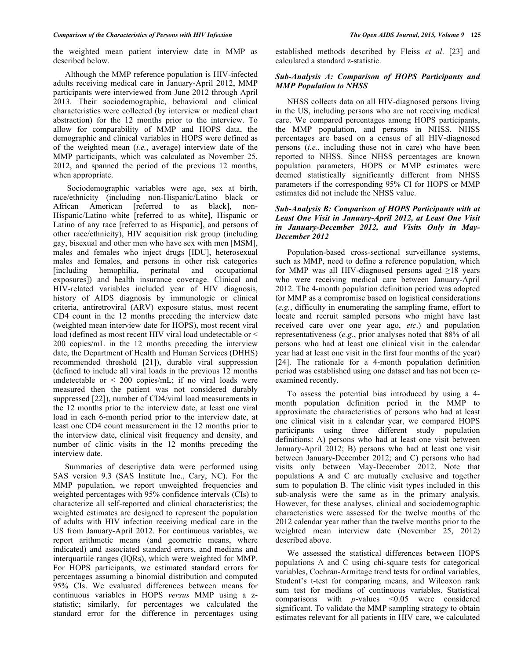the weighted mean patient interview date in MMP as described below.

Although the MMP reference population is HIV-infected adults receiving medical care in January-April 2012, MMP participants were interviewed from June 2012 through April 2013. Their sociodemographic, behavioral and clinical characteristics were collected (by interview or medical chart abstraction) for the 12 months prior to the interview. To allow for comparability of MMP and HOPS data, the demographic and clinical variables in HOPS were defined as of the weighted mean (*i.e.*, average) interview date of the MMP participants, which was calculated as November 25, 2012, and spanned the period of the previous 12 months, when appropriate.

Sociodemographic variables were age, sex at birth, race/ethnicity (including non-Hispanic/Latino black or African American [referred to as black], non-Hispanic/Latino white [referred to as white], Hispanic or Latino of any race [referred to as Hispanic], and persons of other race/ethnicity), HIV acquisition risk group (including gay, bisexual and other men who have sex with men [MSM], males and females who inject drugs [IDU], heterosexual males and females, and persons in other risk categories [including hemophilia, perinatal and occupational exposures]) and health insurance coverage. Clinical and HIV-related variables included year of HIV diagnosis, history of AIDS diagnosis by immunologic or clinical criteria, antiretroviral (ARV) exposure status, most recent CD4 count in the 12 months preceding the interview date (weighted mean interview date for HOPS), most recent viral load (defined as most recent HIV viral load undetectable or < 200 copies/mL in the 12 months preceding the interview date, the Department of Health and Human Services (DHHS) recommended threshold [21]), durable viral suppression (defined to include all viral loads in the previous 12 months undetectable or  $\leq 200$  copies/mL; if no viral loads were measured then the patient was not considered durably suppressed [22]), number of CD4/viral load measurements in the 12 months prior to the interview date, at least one viral load in each 6-month period prior to the interview date, at least one CD4 count measurement in the 12 months prior to the interview date, clinical visit frequency and density, and number of clinic visits in the 12 months preceding the interview date.

Summaries of descriptive data were performed using SAS version 9.3 (SAS Institute Inc., Cary, NC). For the MMP population, we report unweighted frequencies and weighted percentages with 95% confidence intervals (CIs) to characterize all self-reported and clinical characteristics; the weighted estimates are designed to represent the population of adults with HIV infection receiving medical care in the US from January-April 2012. For continuous variables, we report arithmetic means (and geometric means, where indicated) and associated standard errors, and medians and interquartile ranges (IQRs), which were weighted for MMP. For HOPS participants, we estimated standard errors for percentages assuming a binomial distribution and computed 95% CIs. We evaluated differences between means for continuous variables in HOPS *versus* MMP using a zstatistic; similarly, for percentages we calculated the standard error for the difference in percentages using established methods described by Fleiss *et al*. [23] and calculated a standard z-statistic.

## *Sub-Analysis A: Comparison of HOPS Participants and MMP Population to NHSS*

NHSS collects data on all HIV-diagnosed persons living in the US, including persons who are not receiving medical care. We compared percentages among HOPS participants, the MMP population, and persons in NHSS. NHSS percentages are based on a census of all HIV-diagnosed persons (*i.e.*, including those not in care) who have been reported to NHSS. Since NHSS percentages are known population parameters, HOPS or MMP estimates were deemed statistically significantly different from NHSS parameters if the corresponding 95% CI for HOPS or MMP estimates did not include the NHSS value.

# *Sub-Analysis B: Comparison of HOPS Participants with at Least One Visit in January-April 2012, at Least One Visit in January-December 2012, and Visits Only in May-December 2012*

Population-based cross-sectional surveillance systems, such as MMP, need to define a reference population, which for MMP was all HIV-diagnosed persons aged  $\geq$ 18 years who were receiving medical care between January-April 2012. The 4-month population definition period was adopted for MMP as a compromise based on logistical considerations (*e.g.*, difficulty in enumerating the sampling frame, effort to locate and recruit sampled persons who might have last received care over one year ago, *etc*.) and population representativeness (*e.g.*, prior analyses noted that 88% of all persons who had at least one clinical visit in the calendar year had at least one visit in the first four months of the year) [24]. The rationale for a 4-month population definition period was established using one dataset and has not been reexamined recently.

To assess the potential bias introduced by using a 4 month population definition period in the MMP to approximate the characteristics of persons who had at least one clinical visit in a calendar year, we compared HOPS participants using three different study population definitions: A) persons who had at least one visit between January-April 2012; B) persons who had at least one visit between January-December 2012; and C) persons who had visits only between May-December 2012. Note that populations A and C are mutually exclusive and together sum to population B. The clinic visit types included in this sub-analysis were the same as in the primary analysis. However, for these analyses, clinical and sociodemographic characteristics were assessed for the twelve months of the 2012 calendar year rather than the twelve months prior to the weighted mean interview date (November 25, 2012) described above.

We assessed the statistical differences between HOPS populations A and C using chi-square tests for categorical variables, Cochran-Armitage trend tests for ordinal variables, Student's t-test for comparing means, and Wilcoxon rank sum test for medians of continuous variables. Statistical comparisons with *p*-values <0.05 were considered significant. To validate the MMP sampling strategy to obtain estimates relevant for all patients in HIV care, we calculated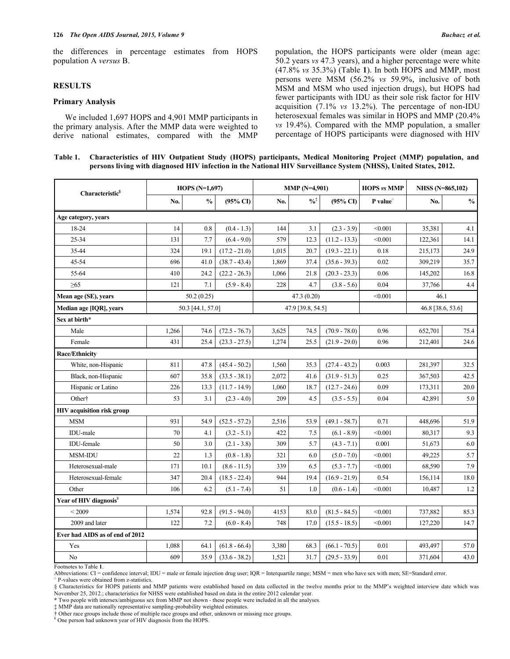the differences in percentage estimates from HOPS population A *versus* B.

#### **RESULTS**

# **Primary Analysis**

We included 1,697 HOPS and 4,901 MMP participants in the primary analysis. After the MMP data were weighted to derive national estimates, compared with the MMP population, the HOPS participants were older (mean age: 50.2 years *vs* 47.3 years), and a higher percentage were white (47.8% *vs* 35.3%) (Table **1**). In both HOPS and MMP, most persons were MSM (56.2% *vs* 59.9%, inclusive of both MSM and MSM who used injection drugs), but HOPS had fewer participants with IDU as their sole risk factor for HIV acquisition (7.1% *vs* 13.2%). The percentage of non-IDU heterosexual females was similar in HOPS and MMP (20.4% *vs* 19.4%). Compared with the MMP population, a smaller percentage of HOPS participants were diagnosed with HIV

**Table 1. Characteristics of HIV Outpatient Study (HOPS) participants, Medical Monitoring Project (MMP) population, and persons living with diagnosed HIV infection in the National HIV Surveillance System (NHSS), United States, 2012.**

| Characteristic <sup>§</sup>        |            | HOPS $(N=1,697)$  |                     |             | <b>MMP</b> (N=4,901) |                     | <b>HOPS</b> vs MMP   | NHSS (N=865,102)  |               |
|------------------------------------|------------|-------------------|---------------------|-------------|----------------------|---------------------|----------------------|-------------------|---------------|
|                                    | No.        | $\frac{0}{0}$     | $(95\% \text{ CI})$ | No.         | $\frac{0}{6}$        | $(95\% \text{ C}I)$ | $P$ value $^{\circ}$ | No.               | $\frac{0}{0}$ |
| Age category, years                |            |                   |                     |             |                      |                     |                      |                   |               |
| 18-24                              | 14         | 0.8               | $(0.4 - 1.3)$       | 144         | 3.1                  | $(2.3 - 3.9)$       | < 0.001              | 35,381            | 4.1           |
| 25-34                              | 131        | 7.7               | $(6.4 - 9.0)$       | 579         | 12.3                 | $(11.2 - 13.3)$     | < 0.001              | 122,361           | 14.1          |
| 35-44                              | 324        | 19.1              | $(17.2 - 21.0)$     | 1,015       | 20.7                 | $(19.3 - 22.1)$     | 0.18                 | 215,173           | 24.9          |
| 45-54                              | 696        | 41.0              | $(38.7 - 43.4)$     | 1,869       | 37.4                 | $(35.6 - 39.3)$     | 0.02                 | 309,219           | 35.7          |
| 55-64                              | 410        | 24.2              | $(22.2 - 26.3)$     | 1,066       | 21.8                 | $(20.3 - 23.3)$     | 0.06                 | 145,202           | 16.8          |
| $\geq 65$                          | 121        | 7.1               | $(5.9 - 8.4)$       | 228         | 4.7                  | $(3.8 - 5.6)$       | 0.04                 | 37,766            | 4.4           |
| Mean age (SE), years               | 50.2(0.25) |                   |                     | 47.3 (0.20) |                      | < 0.001             | 46.1                 |                   |               |
| Median age [IQR], years            |            | 50.3 [44.1, 57.0] |                     |             | 47.9 [39.8, 54.5]    |                     |                      | 46.8 [38.6, 53.6] |               |
| Sex at birth*                      |            |                   |                     |             |                      |                     |                      |                   |               |
| Male                               | 1,266      | 74.6              | $(72.5 - 76.7)$     | 3,625       | 74.5                 | $(70.9 - 78.0)$     | 0.96                 | 652,701           | 75.4          |
| Female                             | 431        | 25.4              | $(23.3 - 27.5)$     | 1,274       | 25.5                 | $(21.9 - 29.0)$     | 0.96                 | 212,401           | 24.6          |
| Race/Ethnicity                     |            |                   |                     |             |                      |                     |                      |                   |               |
| White, non-Hispanic                | 811        | 47.8              | $(45.4 - 50.2)$     | 1,560       | 35.3                 | $(27.4 - 43.2)$     | 0.003                | 281,397           | 32.5          |
| Black, non-Hispanic                | 607        | 35.8              | $(33.5 - 38.1)$     | 2,072       | 41.6                 | $(31.9 - 51.3)$     | 0.25                 | 367,503           | 42.5          |
| Hispanic or Latino                 | 226        | 13.3              | $(11.7 - 14.9)$     | 1,060       | 18.7                 | $(12.7 - 24.6)$     | 0.09                 | 173,311           | 20.0          |
| Other <sup>†</sup>                 | 53         | 3.1               | $(2.3 - 4.0)$       | 209         | 4.5                  | $(3.5 - 5.5)$       | 0.04                 | 42,891            | 5.0           |
| HIV acquisition risk group         |            |                   |                     |             |                      |                     |                      |                   |               |
| <b>MSM</b>                         | 931        | 54.9              | $(52.5 - 57.2)$     | 2,516       | 53.9                 | $(49.1 - 58.7)$     | 0.71                 | 448,696           | 51.9          |
| IDU-male                           | 70         | 4.1               | $(3.2 - 5.1)$       | 422         | 7.5                  | $(6.1 - 8.9)$       | < 0.001              | 80,317            | 9.3           |
| IDU-female                         | 50         | 3.0               | $(2.1 - 3.8)$       | 309         | 5.7                  | $(4.3 - 7.1)$       | 0.001                | 51,673            | 6.0           |
| MSM-IDU                            | 22         | 1.3               | $(0.8 - 1.8)$       | 321         | 6.0                  | $(5.0 - 7.0)$       | < 0.001              | 49,225            | 5.7           |
| Heterosexual-male                  | 171        | 10.1              | $(8.6 - 11.5)$      | 339         | 6.5                  | $(5.3 - 7.7)$       | < 0.001              | 68,590            | 7.9           |
| Heterosexual-female                | 347        | 20.4              | $(18.5 - 22.4)$     | 944         | 19.4                 | $(16.9 - 21.9)$     | 0.54                 | 156,114           | 18.0          |
| Other                              | 106        | 6.2               | $(5.1 - 7.4)$       | 51          | 1.0                  | $(0.6 - 1.4)$       | < 0.001              | 10.487            | 1.2           |
| Year of HIV diagnosis <sup>*</sup> |            |                   |                     |             |                      |                     |                      |                   |               |
| < 2009                             | 1,574      | 92.8              | $(91.5 - 94.0)$     | 4153        | 83.0                 | $(81.5 - 84.5)$     | < 0.001              | 737,882           | 85.3          |
| 2009 and later                     | 122        | 7.2               | $(6.0 - 8.4)$       | 748         | 17.0                 | $(15.5 - 18.5)$     | < 0.001              | 127,220           | 14.7          |
| Ever had AIDS as of end of 2012    |            |                   |                     |             |                      |                     |                      |                   |               |
| Yes                                | 1,088      | 64.1              | $(61.8 - 66.4)$     | 3,380       | 68.3                 | $(66.1 - 70.5)$     | 0.01                 | 493,497           | 57.0          |
| No                                 | 609        | 35.9              | $(33.6 - 38.2)$     | 1,521       | 31.7                 | $(29.5 - 33.9)$     | 0.01                 | 371,604           | 43.0          |

Footnotes to Table **1**.

Abbreviations: CI = confidence interval; IDU = male or female injection drug user; IQR = Interquartile range; MSM = men who have sex with men; SE=Standard error.

○ P-values were obtained from z-statistics.

§ Characteristics for HOPS patients and MMP patients were established based on data collected in the twelve months prior to the MMP's weighted interview date which was November 25, 2012.; characteristics for NHSS were established based on data in the entire 2012 calendar year.

\* Two people with intersex/ambiguous sex from MMP not shown - these people were included in all the analyses.

‡ MMP data are nationally representative sampling-probability weighted estimates.

† Other race groups include those of multiple race groups and other, unknown or missing race groups.

¥ One person had unknown year of HIV diagnosis from the HOPS.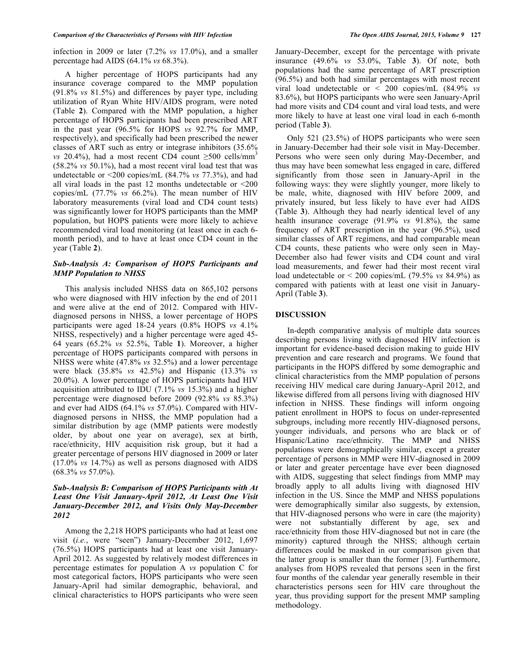infection in 2009 or later (7.2% *vs* 17.0%), and a smaller percentage had AIDS (64.1% *vs* 68.3%).

A higher percentage of HOPS participants had any insurance coverage compared to the MMP population (91.8% *vs* 81.5%) and differences by payer type, including utilization of Ryan White HIV/AIDS program, were noted (Table **2**). Compared with the MMP population, a higher percentage of HOPS participants had been prescribed ART in the past year (96.5% for HOPS *vs* 92.7% for MMP, respectively), and specifically had been prescribed the newer classes of ART such as entry or integrase inhibitors (35.6% *vs* 20.4%), had a most recent CD4 count  $\geq$ 500 cells/mm<sup>3</sup> (58.2% *vs* 50.1%), had a most recent viral load test that was undetectable or <200 copies/mL (84.7% *vs* 77.3%), and had all viral loads in the past 12 months undetectable or <200 copies/mL (77.7% *vs* 66.2%). The mean number of HIV laboratory measurements (viral load and CD4 count tests) was significantly lower for HOPS participants than the MMP population, but HOPS patients were more likely to achieve recommended viral load monitoring (at least once in each 6 month period), and to have at least once CD4 count in the year (Table **2**).

# *Sub-Analysis A: Comparison of HOPS Participants and MMP Population to NHSS*

This analysis included NHSS data on 865,102 persons who were diagnosed with HIV infection by the end of 2011 and were alive at the end of 2012. Compared with HIVdiagnosed persons in NHSS, a lower percentage of HOPS participants were aged 18-24 years (0.8% HOPS *vs* 4.1% NHSS, respectively) and a higher percentage were aged 45- 64 years (65.2% *vs* 52.5%, Table **1**). Moreover, a higher percentage of HOPS participants compared with persons in NHSS were white (47.8% *vs* 32.5%) and a lower percentage were black (35.8% *vs* 42.5%) and Hispanic (13.3% *vs* 20.0%). A lower percentage of HOPS participants had HIV acquisition attributed to IDU (7.1% *vs* 15.3%) and a higher percentage were diagnosed before 2009 (92.8% *vs* 85.3%) and ever had AIDS (64.1% *vs* 57.0%). Compared with HIVdiagnosed persons in NHSS, the MMP population had a similar distribution by age (MMP patients were modestly older, by about one year on average), sex at birth, race/ethnicity, HIV acquisition risk group, but it had a greater percentage of persons HIV diagnosed in 2009 or later (17.0% *vs* 14.7%) as well as persons diagnosed with AIDS (68.3% *vs* 57.0%).

# *Sub-Analysis B: Comparison of HOPS Participants with At Least One Visit January-April 2012, At Least One Visit January-December 2012, and Visits Only May-December 2012*

Among the 2,218 HOPS participants who had at least one visit (*i.e.*, were "seen") January-December 2012, 1,697 (76.5%) HOPS participants had at least one visit January-April 2012. As suggested by relatively modest differences in percentage estimates for population A *vs* population C for most categorical factors, HOPS participants who were seen January-April had similar demographic, behavioral, and clinical characteristics to HOPS participants who were seen

January-December, except for the percentage with private insurance (49.6% *vs* 53.0%, Table **3**). Of note, both populations had the same percentage of ART prescription (96.5%) and both had similar percentages with most recent viral load undetectable or < 200 copies/mL (84.9% *vs* 83.6%), but HOPS participants who were seen January-April had more visits and CD4 count and viral load tests, and were more likely to have at least one viral load in each 6-month period (Table **3**).

Only 521 (23.5%) of HOPS participants who were seen in January-December had their sole visit in May-December. Persons who were seen only during May-December, and thus may have been somewhat less engaged in care, differed significantly from those seen in January-April in the following ways: they were slightly younger, more likely to be male, white, diagnosed with HIV before 2009, and privately insured, but less likely to have ever had AIDS (Table **3**). Although they had nearly identical level of any health insurance coverage (91.9% *vs* 91.8%), the same frequency of ART prescription in the year (96.5%), used similar classes of ART regimens, and had comparable mean CD4 counts, these patients who were only seen in May-December also had fewer visits and CD4 count and viral load measurements, and fewer had their most recent viral load undetectable or < 200 copies/mL (79.5% *vs* 84.9%) as compared with patients with at least one visit in January-April (Table **3**).

# **DISCUSSION**

In-depth comparative analysis of multiple data sources describing persons living with diagnosed HIV infection is important for evidence-based decision making to guide HIV prevention and care research and programs. We found that participants in the HOPS differed by some demographic and clinical characteristics from the MMP population of persons receiving HIV medical care during January-April 2012, and likewise differed from all persons living with diagnosed HIV infection in NHSS. These findings will inform ongoing patient enrollment in HOPS to focus on under-represented subgroups, including more recently HIV-diagnosed persons, younger individuals, and persons who are black or of Hispanic/Latino race/ethnicity. The MMP and NHSS populations were demographically similar, except a greater percentage of persons in MMP were HIV-diagnosed in 2009 or later and greater percentage have ever been diagnosed with AIDS, suggesting that select findings from MMP may broadly apply to all adults living with diagnosed HIV infection in the US. Since the MMP and NHSS populations were demographically similar also suggests, by extension, that HIV-diagnosed persons who were in care (the majority) were not substantially different by age, sex and race/ethnicity from those HIV-diagnosed but not in care (the minority) captured through the NHSS; although certain differences could be masked in our comparison given that the latter group is smaller than the former [3]. Furthermore, analyses from HOPS revealed that persons seen in the first four months of the calendar year generally resemble in their characteristics persons seen for HIV care throughout the year, thus providing support for the present MMP sampling methodology.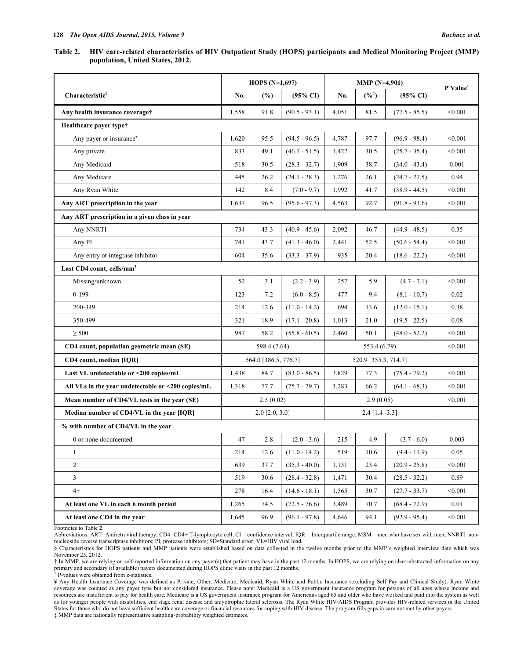## Table 2. HIV care-related characteristics of HIV Outpatient Study (HOPS) participants and Medical Monitoring Project (MMP) **population, United States, 2012.**

|                                                    |             | HOPS $(N=1,697)$        |                          |                      | P Value <sup>o</sup> |                     |         |  |
|----------------------------------------------------|-------------|-------------------------|--------------------------|----------------------|----------------------|---------------------|---------|--|
| Characteristic <sup>§</sup>                        | No.         | $(\%)$                  | $(95\% \text{ CI})$      | No.                  | $(%^{*})$            | $(95\% \text{ CI})$ |         |  |
| Any health insurance coverage†                     | 1,558       | 91.8                    | $(90.5 - 93.1)$          | 4,051                | 81.5                 | $(77.5 - 85.5)$     | < 0.001 |  |
| Healthcare payer type†                             |             |                         |                          |                      |                      |                     |         |  |
| Any payer or insurance <sup>*</sup>                | 1,620       | 95.5                    | $(94.5 - 96.5)$          | 4,787                | 97.7                 | $(96.9 - 98.4)$     | < 0.001 |  |
| Any private                                        | 833         | 49.1                    | $(46.7 - 51.5)$          | 1,422                | 30.5                 | $(25.7 - 35.4)$     | < 0.001 |  |
| Any Medicaid                                       | 518<br>30.5 |                         | $(28.3 - 32.7)$          | 1,909                | 38.7                 | $(34.0 - 43.4)$     | 0.001   |  |
| Any Medicare                                       | 445         | 26.2                    | $(24.1 - 28.3)$          | 1,276                | 26.1                 | $(24.7 - 27.5)$     | 0.94    |  |
| Any Ryan White                                     | 142         | 8.4                     | $(7.0 - 9.7)$            | 1,992                | 41.7                 | $(38.9 - 44.5)$     | < 0.001 |  |
| Any ART prescription in the year                   | 1,637       | 96.5                    | $(95.6 - 97.3)$          | 92.7<br>4,563        |                      | $(91.8 - 93.6)$     | < 0.001 |  |
| Any ART prescription in a given class in year      |             |                         |                          |                      |                      |                     |         |  |
| Any NNRTI                                          | 734         | 43.3                    | $(40.9 - 45.6)$          | 2,092                | 46.7                 | $(44.9 - 48.5)$     | 0.35    |  |
| Any PI                                             | 741         | 43.7                    | $(41.3 - 46.0)$          | 2,441                |                      | $(50.6 - 54.4)$     | < 0.001 |  |
| Any entry or integrase inhibitor                   | 604         | 35.6                    | $(33.3 - 37.9)$          | 935                  | 20.4                 | $(18.6 - 22.2)$     | < 0.001 |  |
| Last CD4 count, cells/mm <sup>3</sup>              |             |                         |                          |                      |                      |                     |         |  |
| Missing/unknown                                    | 52          | 3.1                     | $(2.2 - 3.9)$            | 257                  | 5.9                  | $(4.7 - 7.1)$       | < 0.001 |  |
| $0-199$                                            | 123         | 7.2                     | $(6.0 - 8.5)$            | 477                  | 9.4                  | $(8.1 - 10.7)$      | 0.02    |  |
| 200-349                                            | 214         | 12.6                    | $(11.0 - 14.2)$          | 694                  | 13.6                 | $(12.0 - 15.1)$     | 0.38    |  |
| 350-499                                            | 321         | 18.9                    | $(17.1 - 20.8)$<br>1,013 |                      | 21.0                 | $(19.5 - 22.5)$     | 0.08    |  |
| $\geq$ 500                                         | 987         | 58.2                    | $(55.8 - 60.5)$          | 2,460                | 50.1                 | $(48.0 - 52.2)$     | < 0.001 |  |
| CD4 count, population geometric mean (SE)          |             | 598.4 (7.64)            |                          |                      | < 0.001              |                     |         |  |
| CD4 count, median [IQR]                            |             | 564.0 [386.5, 776.7]    |                          | 520.9 [355.3, 714.7] |                      |                     |         |  |
| Last VL undetectable or <200 copies/mL             | 1,438       | 84.7                    | $(83.0 - 86.5)$          | 3,829                | 77.3                 | $(75.4 - 79.2)$     | < 0.001 |  |
| All VLs in the year undetectable or <200 copies/mL | 1,318       | 77.7                    | $(75.7 - 79.7)$          | 3,283                | 66.2                 | $(64.1 - 68.3)$     | < 0.001 |  |
| Mean number of CD4/VL tests in the year (SE)       |             | 2.5(0.02)               |                          |                      | < 0.001              |                     |         |  |
| Median number of CD4/VL in the year [IQR]          |             | $2.0$ [ $2.0$ , $3.0$ ] |                          |                      |                      |                     |         |  |
| % with number of CD4/VL in the year                |             |                         |                          |                      |                      |                     |         |  |
| 0 or none documented                               | 47          | 2.8                     | $(2.0 - 3.6)$            | 215                  | 4.9                  | $(3.7 - 6.0)$       | 0.003   |  |
| 1                                                  | 214         | 12.6                    | $(11.0 - 14.2)$          | 519                  | 10.6                 | $(9.4 - 11.9)$      | 0.05    |  |
| $\overline{c}$                                     | 639         | 37.7                    | $(35.3 - 40.0)$          | 1,131                | 23.4                 | $(20.9 - 25.8)$     | < 0.001 |  |
| $\mathfrak{Z}$                                     | 519         | 30.6                    | $(28.4 - 32.8)$          | 1,471                | 30.4                 | $(28.5 - 32.2)$     | 0.89    |  |
| $4+$                                               | 278         | 16.4                    | $(14.6 - 18.1)$          | 1,565                | 30.7                 | $(27.7 - 33.7)$     | < 0.001 |  |
| At least one VL in each 6 month period             | 1,265       | 74.5                    | $(72.5 - 76.6)$          | 3,489                | 70.7                 | $(68.4 - 72.9)$     | 0.01    |  |
| At least one CD4 in the year                       | 1,645       | 96.9                    | $(96.1 - 97.8)$          | 4,646                | 94.1                 | $(92.9 - 95.4)$     | < 0.001 |  |

Footnotes to Table **2**.

† In MMP, we are relying on self-reported information on any payer(s) that patient may have in the past 12 months. In HOPS, we are relying on chart-abstracted information on any primary and secondary (if available) payers documented during HOPS clinic visits in the past 12 months.<br>
° P-values were obtained from z-statistics.

¥ Any Health Insurance Coverage was defined as Private, Other, Medicare, Medicaid, Ryan White and Public Insurance (excluding Self Pay and Clinical Study). Ryan White coverage was counted as any payer type but not considered insurance. Please note: Medicaid is a US government insurance program for persons of all ages whose income and resources are insufficient to pay for health care. Medicare is a US government insurance program for Americans aged 65 and older who have worked and paid into the system as well as for younger people with disabilities, end stage renal disease and amyotrophic lateral sclerosis. The Ryan White HIV/AIDS Program provides HIV-related services in the United States for those who do not have sufficient health care coverage or financial resources for coping with HIV disease. The program fills gaps in care not met by other payers. ‡ MMP data are nationally representative sampling-probability weighted estimates.

Abbreviations: ART=Antiretroviral therapy; CD4=CD4+ T-lymphocyte cell; CI = confidence interval; IQR = Interquartile range; MSM = men who have sex with men; NNRTI=nonnucleoside reverse transcriptase inhibitors; PI, protease inhibitors; SE=Standard error; VL=HIV viral load.

<sup>§</sup> Characteristics for HOPS patients and MMP patients were established based on data collected in the twelve months prior to the MMP's weighted interview date which was November 25, 2012.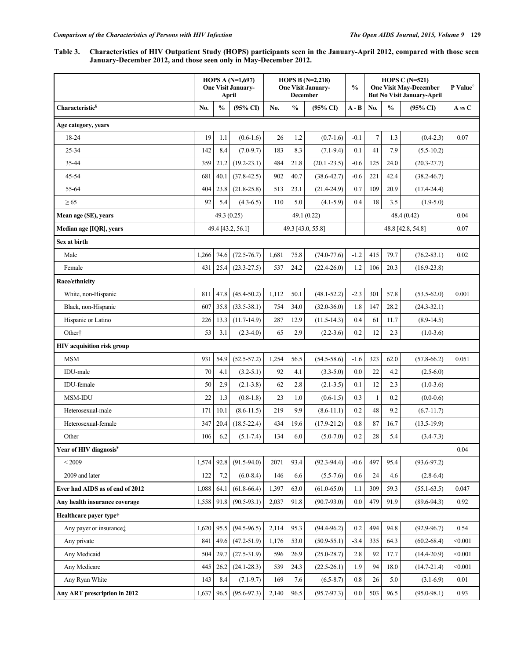Table 3. Characteristics of HIV Outpatient Study (HOPS) participants seen in the January-April 2012, compared with those seen **January-December 2012, and those seen only in May-December 2012.**

|                                     | HOPS A $(N=1,697)$<br><b>One Visit January-</b><br>April |               | HOPS B $(N=2,218)$<br><b>One Visit January-</b><br><b>December</b> |                   |               | $\frac{0}{0}$       | HOPS C $(N=521)$<br><b>One Visit May-December</b><br><b>But No Visit January-April</b> |                   | P Value <sup>o</sup> |                     |         |
|-------------------------------------|----------------------------------------------------------|---------------|--------------------------------------------------------------------|-------------------|---------------|---------------------|----------------------------------------------------------------------------------------|-------------------|----------------------|---------------------|---------|
| Characteristic <sup>§</sup>         | No.                                                      | $\frac{0}{0}$ | $(95\% \text{ CI})$                                                | No.               | $\frac{0}{0}$ | $(95\% \text{ CI})$ | A - B                                                                                  | No.               | $\frac{0}{0}$        | $(95\% \text{ CI})$ | A vs C  |
| Age category, years                 |                                                          |               |                                                                    |                   |               |                     |                                                                                        |                   |                      |                     |         |
| 18-24                               | 19                                                       | 1.1           | $(0.6-1.6)$                                                        | 26                | 1.2           | $(0.7-1.6)$         | $-0.1$                                                                                 | $\overline{7}$    | 1.3                  | $(0.4-2.3)$         | 0.07    |
| 25-34                               | 142                                                      | 8.4           | $(7.0 - 9.7)$                                                      | 183               | 8.3           | $(7.1-9.4)$         | 0.1                                                                                    | 41                | 7.9                  | $(5.5-10.2)$        |         |
| 35-44                               | 359                                                      | 21.2          | $(19.2 - 23.1)$                                                    | 484               | 21.8          | $(20.1 - 23.5)$     | $-0.6$                                                                                 | 125               | 24.0                 | $(20.3 - 27.7)$     |         |
| 45-54                               | 681                                                      | 40.1          | $(37.8 - 42.5)$                                                    | 902               | 40.7          | $(38.6 - 42.7)$     | $-0.6$                                                                                 | 221               | 42.4                 | $(38.2 - 46.7)$     |         |
| 55-64                               | 404                                                      | 23.8          | $(21.8 - 25.8)$                                                    | 513               | 23.1          | $(21.4 - 24.9)$     | 0.7                                                                                    | 109               | 20.9                 | $(17.4 - 24.4)$     |         |
| $\geq 65$                           | 92                                                       | 5.4           | $(4.3-6.5)$                                                        | 110               | 5.0           | $(4.1 - 5.9)$       | 0.4                                                                                    | 18                | 3.5                  | $(1.9-5.0)$         |         |
| Mean age (SE), years                |                                                          | 49.3 (0.25)   |                                                                    |                   |               | 49.1(0.22)          |                                                                                        |                   |                      | 48.4 (0.42)         | 0.04    |
| Median age [IQR], years             |                                                          |               | 49.4 [43.2, 56.1]                                                  | 49.3 [43.0, 55.8] |               |                     |                                                                                        | 48.8 [42.8, 54.8] |                      |                     | 0.07    |
| Sex at birth                        |                                                          |               |                                                                    |                   |               |                     |                                                                                        |                   |                      |                     |         |
| Male                                | 1,266                                                    | 74.6          | $(72.5 - 76.7)$                                                    | 1,681             | 75.8          | $(74.0 - 77.6)$     | $-1.2$                                                                                 | 415               | 79.7                 | $(76.2 - 83.1)$     | 0.02    |
| Female                              | 431                                                      | 25.4          | $(23.3 - 27.5)$                                                    | 537               | 24.2          | $(22.4 - 26.0)$     | 1.2                                                                                    | 106               | 20.3                 | $(16.9 - 23.8)$     |         |
| Race/ethnicity                      |                                                          |               |                                                                    |                   |               |                     |                                                                                        |                   |                      |                     |         |
| White, non-Hispanic                 | 811                                                      | 47.8          | $(45.4 - 50.2)$                                                    | 1,112             | 50.1          | $(48.1 - 52.2)$     | $-2.3$                                                                                 | 301               | 57.8                 | $(53.5-62.0)$       | 0.001   |
| Black, non-Hispanic                 | 607                                                      | 35.8          | $(33.5 - 38.1)$                                                    | 754               | 34.0          | $(32.0 - 36.0)$     | 1.8                                                                                    | 147               | 28.2                 | $(24.3 - 32.1)$     |         |
| Hispanic or Latino                  | 226                                                      | 13.3          | $(11.7-14.9)$                                                      | 287               | 12.9          | $(11.5-14.3)$       | 0.4                                                                                    | 61                | 11.7                 | $(8.9-14.5)$        |         |
| Other <sup>†</sup>                  | 53                                                       | 3.1           | $(2.3-4.0)$                                                        | 65                | 2.9           | $(2.2-3.6)$         | 0.2                                                                                    | 12                | 2.3                  | $(1.0-3.6)$         |         |
| <b>HIV</b> acquisition risk group   |                                                          |               |                                                                    |                   |               |                     |                                                                                        |                   |                      |                     |         |
| <b>MSM</b>                          | 931                                                      | 54.9          | $(52.5 - 57.2)$                                                    | 1,254             | 56.5          | $(54.5 - 58.6)$     | $-1.6$                                                                                 | 323               | 62.0                 | $(57.8 - 66.2)$     | 0.051   |
| IDU-male                            | 70                                                       | 4.1           | $(3.2 - 5.1)$                                                      | 92                | 4.1           | $(3.3 - 5.0)$       | 0.0                                                                                    | 22                | 4.2                  | $(2.5-6.0)$         |         |
| <b>IDU-female</b>                   | 50                                                       | 2.9           | $(2.1 - 3.8)$                                                      | 62                | 2.8           | $(2.1 - 3.5)$       | 0.1                                                                                    | 12                | 2.3                  | $(1.0-3.6)$         |         |
| <b>MSM-IDU</b>                      | 22                                                       | 1.3           | $(0.8-1.8)$                                                        | 23                | 1.0           | $(0.6-1.5)$         | 0.3                                                                                    | 1                 | 0.2                  | $(0.0-0.6)$         |         |
| Heterosexual-male                   | 171                                                      | 10.1          | $(8.6 - 11.5)$                                                     | 219               | 9.9           | $(8.6 - 11.1)$      | 0.2                                                                                    | 48                | 9.2                  | $(6.7-11.7)$        |         |
| Heterosexual-female                 | 347                                                      | 20.4          | $(18.5 - 22.4)$                                                    | 434               | 19.6          | $(17.9 - 21.2)$     | 0.8                                                                                    | 87                | 16.7                 | $(13.5-19.9)$       |         |
| Other                               | 106                                                      | 6.2           | $(5.1 - 7.4)$                                                      | 134               | 6.0           | $(5.0 - 7.0)$       | 0.2                                                                                    | 28                | 5.4                  | $(3.4 - 7.3)$       |         |
| Year of HIV diagnosis <sup>¥</sup>  |                                                          |               |                                                                    |                   |               |                     |                                                                                        |                   |                      |                     | 0.04    |
| < 2009                              | 1,574                                                    | 92.8          | $(91.5 - 94.0)$                                                    | 2071              | 93.4          | $(92.3 - 94.4)$     | $-0.6$                                                                                 | 497               | 95.4                 | $(93.6 - 97.2)$     |         |
| 2009 and later                      | 122                                                      | 7.2           | $(6.0 - 8.4)$                                                      | 146               | 6.6           | $(5.5 - 7.6)$       | 0.6                                                                                    | 24                | 4.6                  | $(2.8-6.4)$         |         |
| Ever had AIDS as of end of 2012     | 1,088                                                    | 64.1          | $(61.8 - 66.4)$                                                    | 1,397             | 63.0          | $(61.0 - 65.0)$     | 1.1                                                                                    | 309               | 59.3                 | $(55.1 - 63.5)$     | 0.047   |
| Any health insurance coverage       | 1,558                                                    | 91.8          | $(90.5 - 93.1)$                                                    | 2,037             | 91.8          | $(90.7 - 93.0)$     | 0.0                                                                                    | 479               | 91.9                 | $(89.6 - 94.3)$     | 0.92    |
| Healthcare paver type†              |                                                          |               |                                                                    |                   |               |                     |                                                                                        |                   |                      |                     |         |
| Any payer or insurance <sup>†</sup> | 1,620                                                    | 95.5          | $(94.5 - 96.5)$                                                    | 2,114             | 95.3          | $(94.4 - 96.2)$     | 0.2                                                                                    | 494               | 94.8                 | $(92.9 - 96.7)$     | 0.54    |
| Any private                         | 841                                                      | 49.6          | $(47.2 - 51.9)$                                                    | 1,176             | 53.0          | $(50.9 - 55.1)$     | $-3.4$                                                                                 | 335               | 64.3                 | $(60.2 - 68.4)$     | < 0.001 |
| Any Medicaid                        | 504                                                      | 29.7          | $(27.5 - 31.9)$                                                    | 596               | 26.9          | $(25.0 - 28.7)$     | 2.8                                                                                    | 92                | 17.7                 | $(14.4 - 20.9)$     | < 0.001 |
| Any Medicare                        | 445                                                      | 26.2          | $(24.1 - 28.3)$                                                    | 539               | 24.3          | $(22.5 - 26.1)$     | 1.9                                                                                    | 94                | 18.0                 | $(14.7 - 21.4)$     | < 0.001 |
| Any Ryan White                      | 143                                                      | 8.4           | $(7.1-9.7)$                                                        | 169               | 7.6           | $(6.5 - 8.7)$       | $0.8\,$                                                                                | 26                | 5.0                  | $(3.1-6.9)$         | 0.01    |
| Any ART prescription in 2012        | 1,637                                                    | 96.5          | $(95.6 - 97.3)$                                                    | 2,140             | 96.5          | $(95.7 - 97.3)$     | 0.0                                                                                    | 503               | 96.5                 | $(95.0 - 98.1)$     | 0.93    |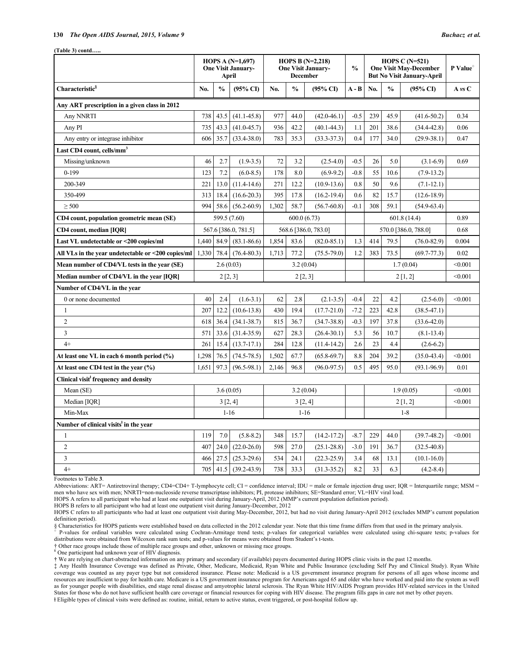#### **130** *The Open AIDS Journal, 2015, Volume 9 Buchacz et al.*

**(Table 3) contd…..**

|                                                    | HOPS A $(N=1,697)$<br><b>One Visit January-</b><br>April |                      |                 |                      | HOPS B $(N=2,218)$<br><b>One Visit January-</b><br><b>December</b> |                 | $\frac{0}{0}$ | HOPS C $(N=521)$<br><b>One Visit May-December</b><br><b>But No Visit January-April</b> |               | P Value <sup>o</sup> |             |
|----------------------------------------------------|----------------------------------------------------------|----------------------|-----------------|----------------------|--------------------------------------------------------------------|-----------------|---------------|----------------------------------------------------------------------------------------|---------------|----------------------|-------------|
| Characteristic <sup>§</sup>                        | No.                                                      | $\frac{0}{0}$        | (95% CI)        | No.                  | $\frac{0}{0}$                                                      | (95% CI)        | $A - B$       | No.                                                                                    | $\frac{0}{0}$ | $(95\% \text{ CI})$  | $A \nu S C$ |
| Any ART prescription in a given class in 2012      |                                                          |                      |                 |                      |                                                                    |                 |               |                                                                                        |               |                      |             |
| Any NNRTI                                          | 738                                                      | 43.5                 | $(41.1 - 45.8)$ | 977                  | 44.0                                                               | $(42.0 - 46.1)$ | $-0.5$        | 239                                                                                    | 45.9          | $(41.6 - 50.2)$      | 0.34        |
| Any PI                                             | 735                                                      | 43.3                 | $(41.0 - 45.7)$ | 936                  | 42.2                                                               | $(40.1 - 44.3)$ | 1.1           | 201                                                                                    | 38.6          | $(34.4 - 42.8)$      | 0.06        |
| Any entry or integrase inhibitor                   |                                                          | 35.7                 | $(33.4 - 38.0)$ | 783                  | 35.3                                                               | $(33.3 - 37.3)$ | 0.4           | 177                                                                                    | 34.0          | $(29.9 - 38.1)$      | 0.47        |
| Last CD4 count, cells/mm <sup>3</sup>              |                                                          |                      |                 |                      |                                                                    |                 |               |                                                                                        |               |                      |             |
| Missing/unknown                                    | 46                                                       | 2.7                  | $(1.9-3.5)$     | 72                   | 3.2                                                                | $(2.5-4.0)$     | $-0.5$        | 26                                                                                     | 5.0           | $(3.1-6.9)$          | 0.69        |
| $0 - 199$                                          | 123                                                      | 7.2                  | $(6.0 - 8.5)$   | 178                  | 8.0                                                                | $(6.9-9.2)$     | $-0.8$        | 55                                                                                     | 10.6          | $(7.9-13.2)$         |             |
| 200-349                                            | 221                                                      | 13.0                 | $(11.4-14.6)$   | 271                  | 12.2                                                               | $(10.9 - 13.6)$ | 0.8           | 50                                                                                     | 9.6           | $(7.1 - 12.1)$       |             |
| 350-499                                            | 313                                                      | 18.4                 | $(16.6 - 20.3)$ | 395                  | 17.8                                                               | $(16.2 - 19.4)$ | 0.6           | 82                                                                                     | 15.7          | $(12.6 - 18.9)$      |             |
| $\geq$ 500                                         | 994                                                      | 58.6                 | $(56.2 - 60.9)$ | 1,302                | 58.7                                                               | $(56.7 - 60.8)$ | $-0.1$        | 308                                                                                    | 59.1          | $(54.9 - 63.4)$      |             |
| CD4 count, population geometric mean (SE)          |                                                          | 599.5 (7.60)         |                 |                      | 600.0(6.73)                                                        |                 |               | 601.8(14.4)                                                                            |               | 0.89                 |             |
| CD4 count, median [IQR]                            |                                                          | 567.6 [386.0, 781.5] |                 | 568.6 [386.0, 783.0] |                                                                    |                 |               | 570.0 [386.0, 788.0]                                                                   |               | 0.68                 |             |
| Last VL undetectable or <200 copies/ml             | 1,440                                                    | 84.9                 | $(83.1 - 86.6)$ | 1,854                | 83.6                                                               | $(82.0 - 85.1)$ | 1.3           | 414                                                                                    | 79.5          | $(76.0 - 82.9)$      | 0.004       |
| All VLs in the year undetectable or <200 copies/ml | 1,330                                                    | 78.4                 | $(76.4 - 80.3)$ | 1,713                | 77.2                                                               | $(75.5 - 79.0)$ | 1.2           | 383                                                                                    | 73.5          | $(69.7 - 77.3)$      | 0.02        |
| Mean number of CD4/VL tests in the year (SE)       |                                                          | 2.6(0.03)            |                 |                      | 3.2(0.04)                                                          |                 |               | 1.7(0.04)                                                                              |               |                      | < 0.001     |
| Median number of CD4/VL in the year [IQR]          | 2[2,3]                                                   |                      | 2[2,3]          |                      |                                                                    |                 | 2[1,2]        |                                                                                        | < 0.001       |                      |             |
| Number of CD4/VL in the year                       |                                                          |                      |                 |                      |                                                                    |                 |               |                                                                                        |               |                      |             |
| 0 or none documented                               | 40                                                       | 2.4                  | $(1.6-3.1)$     | 62                   | 2.8                                                                | $(2.1 - 3.5)$   | $-0.4$        | 22                                                                                     | 4.2           | $(2.5-6.0)$          | < 0.001     |
| 1                                                  | 207                                                      | 12.2                 | $(10.6 - 13.8)$ | 430                  | 19.4                                                               | $(17.7 - 21.0)$ | $-7.2$        | 223                                                                                    | 42.8          | $(38.5 - 47.1)$      |             |
| $\overline{c}$                                     | 618                                                      | 36.4                 | $(34.1 - 38.7)$ | 815                  | 36.7                                                               | $(34.7 - 38.8)$ | $-0.3$        | 197                                                                                    | 37.8          | $(33.6 - 42.0)$      |             |
| 3                                                  | 571                                                      | 33.6                 | $(31.4 - 35.9)$ | 627                  | 28.3                                                               | $(26.4 - 30.1)$ | 5.3           | 56                                                                                     | 10.7          | $(8.1 - 13.4)$       |             |
| $4+$                                               | 261                                                      | 15.4                 | $(13.7 - 17.1)$ | 284                  | 12.8                                                               | $(11.4-14.2)$   | 2.6           | 23                                                                                     | 4.4           | $(2.6-6.2)$          |             |
| At least one VL in each 6 month period (%)         | 1,298                                                    | 76.5                 | $(74.5 - 78.5)$ | 1,502                | 67.7                                                               | $(65.8 - 69.7)$ | 8.8           | 204                                                                                    | 39.2          | $(35.0 - 43.4)$      | < 0.001     |
| At least one CD4 test in the year $(\% )$          |                                                          | 97.3                 | $(96.5 - 98.1)$ | 2,146                | 96.8                                                               | $(96.0 - 97.5)$ | 0.5           | 495                                                                                    | 95.0          | $(93.1 - 96.9)$      | 0.01        |
| Clinical visit frequency and density               |                                                          |                      |                 |                      |                                                                    |                 |               |                                                                                        |               |                      |             |
| Mean (SE)                                          | 3.6(0.05)                                                |                      |                 | 3.2(0.04)            |                                                                    |                 |               | 1.9(0.05)                                                                              |               |                      | < 0.001     |
| Median [IQR]                                       |                                                          | 3 [2, 4]             |                 | 3 [2, 4]             |                                                                    |                 | 2[1,2]        |                                                                                        | < 0.001       |                      |             |
| Min-Max                                            |                                                          | $1-16$               |                 |                      | $1 - 16$                                                           |                 |               | $1-8$                                                                                  |               |                      |             |
| Number of clinical visits <sup>t</sup> in the year |                                                          |                      |                 |                      |                                                                    |                 |               |                                                                                        |               |                      |             |
| 1                                                  | 119                                                      | 7.0                  | $(5.8 - 8.2)$   | 348                  | 15.7                                                               | $(14.2 - 17.2)$ | $-8.7$        | 229                                                                                    | 44.0          | $(39.7 - 48.2)$      | < 0.001     |
| $\overline{2}$                                     | 407                                                      | 24.0                 | $(22.0 - 26.0)$ | 598                  | 27.0                                                               | $(25.1 - 28.8)$ | $-3.0$        | 191                                                                                    | 36.7          | $(32.5 - 40.8)$      |             |
| 3                                                  | 466                                                      | 27.5                 | $(25.3 - 29.6)$ | 534                  | 24.1                                                               | $(22.3 - 25.9)$ | 3.4           | 68                                                                                     | 13.1          | $(10.1 - 16.0)$      |             |
| $4+$                                               | 705                                                      | 41.5                 | $(39.2 - 43.9)$ | 738                  | 33.3                                                               | $(31.3 - 35.2)$ | 8.2           | 33                                                                                     | 6.3           | $(4.2 - 8.4)$        |             |

Footnotes to Table **3**.

Abbreviations: ART= Antiretroviral therapy; CD4=CD4+ T-lymphocyte cell; CI = confidence interval; IDU = male or female injection drug user; IQR = Interquartile range; MSM = men who have sex with men; NNRTI=non-nucleoside reverse transcriptase inhibitors; PI, protease inhibitors; SE=Standard error; VL=HIV viral load.

HOPS A refers to all participant who had at least one outpatient visit during January-April, 2012 (MMP's current population definition period).

HOPS B refers to all participant who had at least one outpatient visit during January-December, 2012

HOPS C refers to all participants who had at least one outpatient visit during May-December, 2012, but had no visit during January-April 2012 (excludes MMP's current population definition period).

§ Characteristics for HOPS patients were established based on data collected in the 2012 calendar year. Note that this time frame differs from that used in the primary analysis.

<sup>7</sup> P-values for ordinal variables were calculated using Cochran-Armitage trend tests; p-values for categorical variables were calculated using chi-square tests; p-values for distributions were obtained from Wilcoxon rank

† Other race groups include those of multiple race groups and other, unknown or missing race groups.

One participant had unknown year of HIV diagnosis.

**†** We are relying on chart-abstracted information on any primary and secondary (if available) payers documented during HOPS clinic visits in the past 12 months.

‡ Any Health Insurance Coverage was defined as Private, Other, Medicare, Medicaid, Ryan White and Public Insurance (excluding Self Pay and Clinical Study). Ryan White coverage was counted as any payer type but not considered insurance. Please note: Medicaid is a US government insurance program for persons of all ages whose income and resources are insufficient to pay for health care. Medicare is a US government insurance program for Americans aged 65 and older who have worked and paid into the system as well as for younger people with disabilities, end stage renal disease and amyotrophic lateral sclerosis. The Ryan White HIV/AIDS Program provides HIV-related services in the United States for those who do not have sufficient health care coverage or financial resources for coping with HIV disease. The program fills gaps in care not met by other payers. ⱡ Eligible types of clinical visits were defined as: routine, initial, return to active status, event triggered, or post-hospital follow up.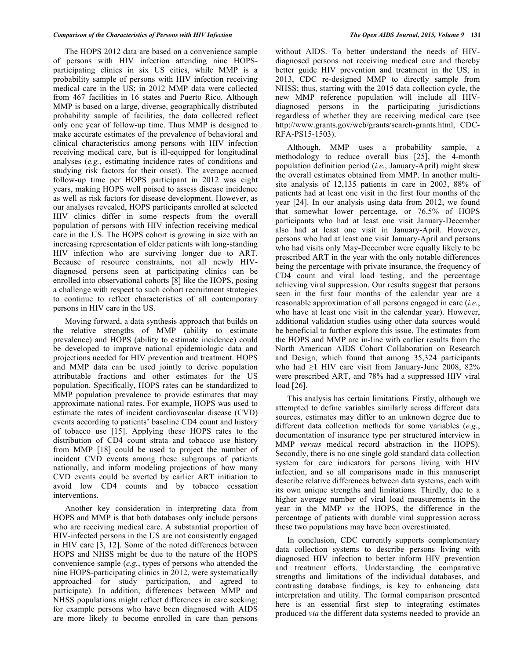The HOPS 2012 data are based on a convenience sample of persons with HIV infection attending nine HOPSparticipating clinics in six US cities, while MMP is a probability sample of persons with HIV infection receiving medical care in the US; in 2012 MMP data were collected from 467 facilities in 16 states and Puerto Rico. Although MMP is based on a large, diverse, geographically distributed probability sample of facilities, the data collected reflect only one year of follow-up time. Thus MMP is designed to make accurate estimates of the prevalence of behavioral and clinical characteristics among persons with HIV infection receiving medical care, but is ill-equipped for longitudinal analyses (*e.g.*, estimating incidence rates of conditions and studying risk factors for their onset). The average accrued follow-up time per HOPS participant in 2012 was eight years, making HOPS well poised to assess disease incidence as well as risk factors for disease development. However, as our analyses revealed, HOPS participants enrolled at selected HIV clinics differ in some respects from the overall population of persons with HIV infection receiving medical care in the US. The HOPS cohort is growing in size with an increasing representation of older patients with long-standing HIV infection who are surviving longer due to ART. Because of resource constraints, not all newly HIVdiagnosed persons seen at participating clinics can be enrolled into observational cohorts [8] like the HOPS, posing a challenge with respect to such cohort recruitment strategies to continue to reflect characteristics of all contemporary persons in HIV care in the US.

Moving forward, a data synthesis approach that builds on the relative strengths of MMP (ability to estimate prevalence) and HOPS (ability to estimate incidence) could be developed to improve national epidemiologic data and projections needed for HIV prevention and treatment. HOPS and MMP data can be used jointly to derive population attributable fractions and other estimates for the US population. Specifically, HOPS rates can be standardized to MMP population prevalence to provide estimates that may approximate national rates. For example, HOPS was used to estimate the rates of incident cardiovascular disease (CVD) events according to patients' baseline CD4 count and history of tobacco use [15]. Applying these HOPS rates to the distribution of CD4 count strata and tobacco use history from MMP [18] could be used to project the number of incident CVD events among these subgroups of patients nationally, and inform modeling projections of how many CVD events could be averted by earlier ART initiation to avoid low CD4 counts and by tobacco cessation interventions.

Another key consideration in interpreting data from HOPS and MMP is that both databases only include persons who are receiving medical care. A substantial proportion of HIV-infected persons in the US are not consistently engaged in HIV care [3, 12]. Some of the noted differences between HOPS and NHSS might be due to the nature of the HOPS convenience sample (*e.g.*, types of persons who attended the nine HOPS-participating clinics in 2012, were systematically approached for study participation, and agreed to participate). In addition, differences between MMP and NHSS populations might reflect differences in care seeking; for example persons who have been diagnosed with AIDS are more likely to become enrolled in care than persons

without AIDS. To better understand the needs of HIVdiagnosed persons not receiving medical care and thereby better guide HIV prevention and treatment in the US, in 2013, CDC re-designed MMP to directly sample from NHSS; thus, starting with the 2015 data collection cycle, the new MMP reference population will include all HIVdiagnosed persons in the participating jurisdictions regardless of whether they are receiving medical care (see http://www.grants.gov/web/grants/search-grants.html, CDC-RFA-PS15-1503).

Although, MMP uses a probability sample, a methodology to reduce overall bias [25], the 4-month population definition period (*i.e.*, January-April) might skew the overall estimates obtained from MMP. In another multisite analysis of 12,135 patients in care in 2003, 88% of patients had at least one visit in the first four months of the year [24]. In our analysis using data from 2012, we found that somewhat lower percentage, or 76.5% of HOPS participants who had at least one visit January-December also had at least one visit in January-April. However, persons who had at least one visit January-April and persons who had visits only May-December were equally likely to be prescribed ART in the year with the only notable differences being the percentage with private insurance, the frequency of CD4 count and viral load testing, and the percentage achieving viral suppression. Our results suggest that persons seen in the first four months of the calendar year are a reasonable approximation of all persons engaged in care (*i.e.*, who have at least one visit in the calendar year). However, additional validation studies using other data sources would be beneficial to further explore this issue. The estimates from the HOPS and MMP are in-line with earlier results from the North American AIDS Cohort Collaboration on Research and Design, which found that among 35,324 participants who had  $\geq$ 1 HIV care visit from January-June 2008, 82% were prescribed ART, and 78% had a suppressed HIV viral load [26].

This analysis has certain limitations. Firstly, although we attempted to define variables similarly across different data sources, estimates may differ to an unknown degree due to different data collection methods for some variables (*e.g.*, documentation of insurance type per structured interview in MMP *versus* medical record abstraction in the HOPS). Secondly, there is no one single gold standard data collection system for care indicators for persons living with HIV infection, and so all comparisons made in this manuscript describe relative differences between data systems, each with its own unique strengths and limitations. Thirdly, due to a higher average number of viral load measurements in the year in the MMP *vs* the HOPS, the difference in the percentage of patients with durable viral suppression across these two populations may have been overestimated.

In conclusion, CDC currently supports complementary data collection systems to describe persons living with diagnosed HIV infection to better inform HIV prevention and treatment efforts. Understanding the comparative strengths and limitations of the individual databases, and contrasting database findings, is key to enhancing data interpretation and utility. The formal comparison presented here is an essential first step to integrating estimates produced *via* the different data systems needed to provide an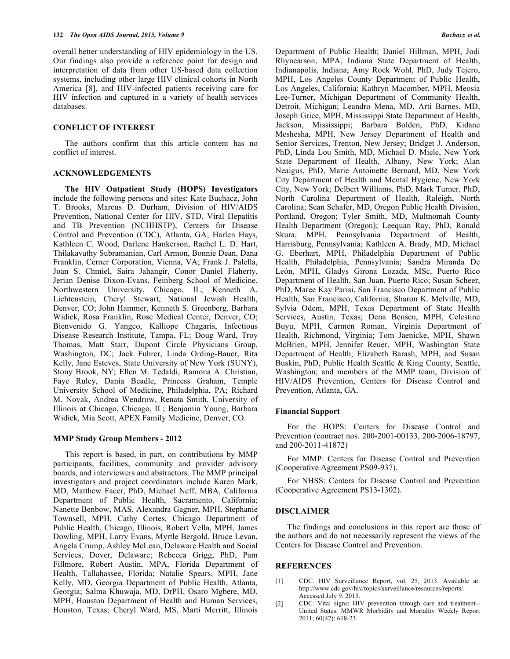overall better understanding of HIV epidemiology in the US. Our findings also provide a reference point for design and interpretation of data from other US-based data collection systems, including other large HIV clinical cohorts in North America [8], and HIV-infected patients receiving care for HIV infection and captured in a variety of health services databases.

# **CONFLICT OF INTEREST**

The authors confirm that this article content has no conflict of interest.

#### **ACKNOWLEDGEMENTS**

**The HIV Outpatient Study (HOPS) Investigators** include the following persons and sites: Kate Buchacz, John T. Brooks, Marcus D. Durham, Division of HIV/AIDS Prevention, National Center for HIV, STD, Viral Hepatitis and TB Prevention (NCHHSTP), Centers for Disease Control and Prevention (CDC), Atlanta, GA; Harlen Hays, Kathleen C. Wood, Darlene Hankerson, Rachel L. D. Hart, Thilakavathy Subramanian, Carl Armon, Bonnie Dean, Dana Franklin, Cerner Corporation, Vienna, VA; Frank J. Palella, Joan S. Chmiel, Saira Jahangir, Conor Daniel Flaherty, Jerian Denise Dixon-Evans, Feinberg School of Medicine, Northwestern University, Chicago, IL; Kenneth A. Lichtenstein, Cheryl Stewart, National Jewish Health, Denver, CO; John Hammer, Kenneth S. Greenberg, Barbara Widick, Rosa Franklin, Rose Medical Center, Denver, CO; Bienvenido G. Yangco, Kalliope Chagaris, Infectious Disease Research Institute, Tampa, FL; Doug Ward, Troy Thomas, Matt Starr, Dupont Circle Physicians Group, Washington, DC; Jack Fuhrer, Linda Ording-Bauer, Rita Kelly, Jane Esteves, State University of New York (SUNY), Stony Brook, NY; Ellen M. Tedaldi, Ramona A. Christian, Faye Ruley, Dania Beadle, Princess Graham, Temple University School of Medicine, Philadelphia, PA; Richard M. Novak, Andrea Wendrow, Renata Smith, University of Illinois at Chicago, Chicago, IL; Benjamin Young, Barbara Widick, Mia Scott, APEX Family Medicine, Denver, CO.

### **MMP Study Group Members - 2012**

This report is based, in part, on contributions by MMP participants, facilities, community and provider advisory boards, and interviewers and abstractors. The MMP principal investigators and project coordinators include Karen Mark, MD, Matthew Facer, PhD, Michael Neff, MBA, California Department of Public Health, Sacramento, California; Nanette Benbow, MAS, Alexandra Gagner, MPH, Stephanie Townsell, MPH, Cathy Cortes, Chicago Department of Public Health, Chicago, Illinois; Robert Vella, MPH, James Dowling, MPH, Larry Evans, Myrtle Bergold, Bruce Levan, Angela Crump, Ashley McLean, Delaware Health and Social Services, Dover, Delaware; Rebecca Grigg, PhD, Pam Fillmore, Robert Austin, MPA, Florida Department of Health, Tallahassee, Florida; Natalie Spears, MPH, Jane Kelly, MD, Georgia Department of Public Health, Atlanta, Georgia; Salma Khuwaja, MD, DrPH, Osaro Mgbere, MD, MPH, Houston Department of Health and Human Services, Houston, Texas; Cheryl Ward, MS, Marti Merritt, Illinois

Department of Public Health; Daniel Hillman, MPH, Jodi Rhynearson, MPA, Indiana State Department of Health, Indianapolis, Indiana; Amy Rock Wohl, PhD, Judy Tejero, MPH, Los Angeles County Department of Public Health, Los Angeles, California; Kathryn Macomber, MPH, Meosia Lee-Turner, Michigan Department of Community Health, Detroit, Michigan; Leandro Mena, MD, Arti Barnes, MD, Joseph Grice, MPH, Mississippi State Department of Health, Jackson, Mississippi; Barbara Bolden, PhD, Kidane Meshesha, MPH, New Jersey Department of Health and Senior Services, Trenton, New Jersey; Bridget J. Anderson, PhD, Linda Lou Smith, MD, Michael D. Miele, New York State Department of Health, Albany, New York; Alan Neaigus, PhD, Marie Antoinette Bernard, MD, New York City Department of Health and Mental Hygiene, New York City, New York; Delbert Williams, PhD, Mark Turner, PhD, North Carolina Department of Health, Raleigh, North Carolina; Sean Schafer, MD, Oregon Public Health Division, Portland, Oregon; Tyler Smith, MD, Multnomah County Health Department (Oregon); Leequan Ray, PhD, Ronald Skura, MPH, Pennsylvania Department of Health, Harrisburg, Pennsylvania; Kathleen A. Brady, MD, Michael G. Eberhart, MPH, Philadelphia Department of Public Health, Philadelphia, Pennsylvania; Sandra Miranda De León, MPH, Gladys Girona Lozada, MSc, Puerto Rico Department of Health, San Juan, Puerto Rico; Susan Scheer, PhD, Maree Kay Parisi, San Francisco Department of Public Health, San Francisco, California; Sharon K. Melville, MD, Sylvia Odem, MPH, Texas Department of State Health Services, Austin, Texas; Dena Bensen, MPH, Celestine Buyu, MPH, Carmen Roman, Virginia Department of Health, Richmond, Virginia; Tom Jaenicke, MPH, Shawn McBrien, MPH, Jennifer Reuer, MPH, Washington State Department of Health; Elizabeth Barash, MPH, and Susan Buskin, PhD, Public Health Seattle & King County, Seattle, Washington; and members of the MMP team, Division of HIV/AIDS Prevention, Centers for Disease Control and Prevention, Atlanta, GA.

## **Financial Support**

For the HOPS: Centers for Disease Control and Prevention (contract nos. 200-2001-00133, 200-2006-18797, and 200-2011-41872)

For MMP: Centers for Disease Control and Prevention (Cooperative Agreement PS09-937).

For NHSS: Centers for Disease Control and Prevention (Cooperative Agreement PS13-1302).

#### **DISCLAIMER**

The findings and conclusions in this report are those of the authors and do not necessarily represent the views of the Centers for Disease Control and Prevention.

#### **REFERENCES**

- [1] CDC. HIV Surveillance Report, vol. 25, 2013. Available at: http://www.cdc.gov/hiv/topics/surveillance/resources/reports/. Accessed July 9. 2015.
- [2] CDC. Vital signs: HIV prevention through care and treatment-- United States. MMWR Morbidity and Mortality Weekly Report 2011; 60(47): 618-23.